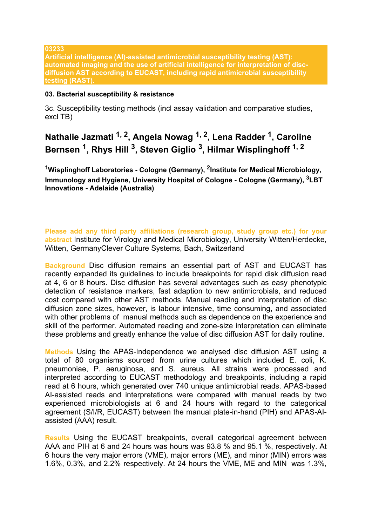**03233** 

**Artificial intelligence (AI)-assisted antimicrobial susceptibility testing (AST): automated imaging and the use of artificial intelligence for interpretation of discdiffusion AST according to EUCAST, including rapid antimicrobial susceptibility testing (RAST).**

## **03. Bacterial susceptibility & resistance**

3c. Susceptibility testing methods (incl assay validation and comparative studies, excl TB)

**Nathalie Jazmati 1, 2, Angela Nowag 1, 2, Lena Radder <sup>1</sup> , Caroline Bernsen <sup>1</sup> , Rhys Hill <sup>3</sup> , Steven Giglio <sup>3</sup> , Hilmar Wisplinghoff 1, 2**

**<sup>1</sup>Wisplinghoff Laboratories - Cologne (Germany), <sup>2</sup> Institute for Medical Microbiology, Immunology and Hygiene, University Hospital of Cologne - Cologne (Germany), 3LBT Innovations - Adelaide (Australia)**

**Please add any third party affiliations (research group, study group etc.) for your abstract** Institute for Virology and Medical Microbiology, University Witten/Herdecke, Witten, GermanyClever Culture Systems, Bach, Switzerland

**Background** Disc diffusion remains an essential part of AST and EUCAST has recently expanded its guidelines to include breakpoints for rapid disk diffusion read at 4, 6 or 8 hours. Disc diffusion has several advantages such as easy phenotypic detection of resistance markers, fast adaption to new antimicrobials, and reduced cost compared with other AST methods. Manual reading and interpretation of disc diffusion zone sizes, however, is labour intensive, time consuming, and associated with other problems of manual methods such as dependence on the experience and skill of the performer. Automated reading and zone-size interpretation can eliminate these problems and greatly enhance the value of disc diffusion AST for daily routine.

**Methods** Using the APAS-Independence we analysed disc diffusion AST using a total of 80 organisms sourced from urine cultures which included E. coli, K. pneumoniae, P. aeruginosa, and S. aureus. All strains were processed and interpreted according to EUCAST methodology and breakpoints, including a rapid read at 6 hours, which generated over 740 unique antimicrobial reads. APAS-based AI-assisted reads and interpretations were compared with manual reads by two experienced microbiologists at 6 and 24 hours with regard to the categorical agreement (S/I/R, EUCAST) between the manual plate-in-hand (PIH) and APAS-AIassisted (AAA) result.

**Results** Using the EUCAST breakpoints, overall categorical agreement between AAA and PIH at 6 and 24 hours was hours was 93.8 % and 95.1 %, respectively. At 6 hours the very major errors (VME), major errors (ME), and minor (MIN) errors was 1.6%, 0.3%, and 2.2% respectively. At 24 hours the VME, ME and MIN was 1.3%,